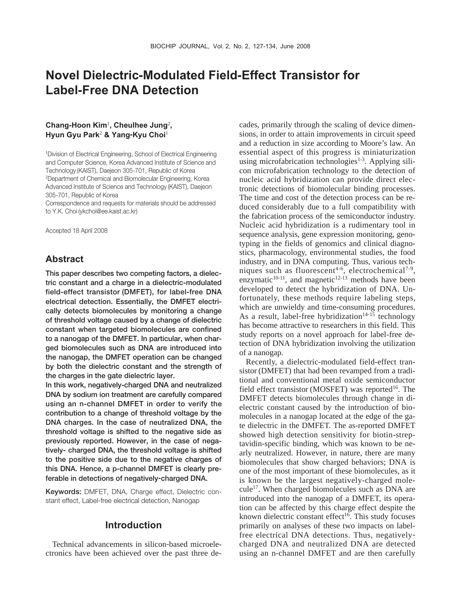# **Novel Dielectric-Modulated Field-Effect Transistor for Label-Free DNA Detection**

### **Chang-Hoon Kim**<sup>1</sup> **, Cheulhee Jung**<sup>2</sup> **, Hyun Gyu Park**<sup>2</sup> **& Yang-Kyu Choi**<sup>1</sup>

1 Division of Electrical Engineering, School of Electrical Engineering and Computer Science, Korea Advanced Institute of Science and Technology (KAIST), Daejeon 305-701, Republic of Korea 2 Department of Chemical and Biomolecular Engineering, Korea Advanced Institute of Science and Technology (KAIST), Daejeon 305-701, Republic of Korea

Correspondence and requests for materials should be addressed to Y.K. Choi (ykchoi@ee.kaist.ac.kr)

Accepted 18 April 2008

# **Abstract**

**This paper describes two competing factors, a dielectric constant and a charge in a dielectric-modulated field-effect transistor (DMFET), for label-free DNA electrical detection. Essentially, the DMFET electrically detects biomolecules by monitoring a change of threshold voltage caused by a change of dielectric constant when targeted biomolecules are confined to a nanogap of the DMFET. In particular, when charged biomolecules such as DNA are introduced into the nanogap, the DMFET operation can be changed by both the dielectric constant and the strength of the charges in the gate dielectric layer.** 

**In this work, negatively-charged DNA and neutralized DNA by sodium ion treatment are carefully compared using an n-channel DMFET in order to verify the contribution to a change of threshold voltage by the DNA charges. In the case of neutralized DNA, the threshold voltage is shifted to the negative side as previously reported. However, in the case of negatively- charged DNA, the threshold voltage is shifted to the positive side due to the negative charges of this DNA. Hence, a p-channel DMFET is clearly preferable in detections of negatively-charged DNA.** 

**Keywords:** DMFET, DNA, Charge effect, Dielectric constant effect, Label-free electrical detection, Nanogap

### **Introduction**

Technical advancements in silicon-based microelectronics have been achieved over the past three de-

cades, primarily through the scaling of device dimensions, in order to attain improvements in circuit speed and a reduction in size according to Moore's law. An essential aspect of this progress is miniaturization using microfabrication technologies<sup>1-3</sup>. Applying silicon microfabrication technology to the detection of nucleic acid hybridization can provide direct electronic detections of biomolecular binding processes. The time and cost of the detection process can be reduced considerably due to a full compatibility with the fabrication process of the semiconductor industry. Nucleic acid hybridization is a rudimentary tool in sequence analysis, gene expression monitoring, genotyping in the fields of genomics and clinical diagnostics, pharmacology, environmental studies, the food industry, and in DNA computing. Thus, various techniques such as fluorescent<sup>4-6</sup>, electrochemical<sup>7-9</sup>, enzymatic $10-11$ , and magnetic $12-13$  methods have been developed to detect the hybridization of DNA. Unfortunately, these methods require labeling steps, which are unwieldy and time-consuming procedures. As a result, label-free hybridization<sup>14-15</sup> technology has become attractive to researchers in this field. This study reports on a novel approach for label-free detection of DNA hybridization involving the utilization of a nanogap.

Recently, a dielectric-modulated field-effect transistor (DMFET) that had been revamped from a traditional and conventional metal oxide semiconductor field effect transistor (MOSFET) was reported<sup>16</sup>. The DMFET detects biomolecules through change in dielectric constant caused by the introduction of biomolecules in a nanogap located at the edge of the gate dielectric in the DMFET. The as-reported DMFET showed high detection sensitivity for biotin-streptavidin-specific binding, which was known to be nearly neutralized. However, in nature, there are many biomolecules that show charged behaviors; DNA is one of the most important of these biomolecules, as it is known be the largest negatively-charged mole- $\text{cube}^{17}$ . When charged biomolecules such as DNA are introduced into the nanogap of a DMFET, its operation can be affected by this charge effect despite the known dielectric constant effect<sup>16</sup>. This study focuses primarily on analyses of these two impacts on labelfree electrical DNA detections. Thus, negativelycharged DNA and neutralized DNA are detected using an n-channel DMFET and are then carefully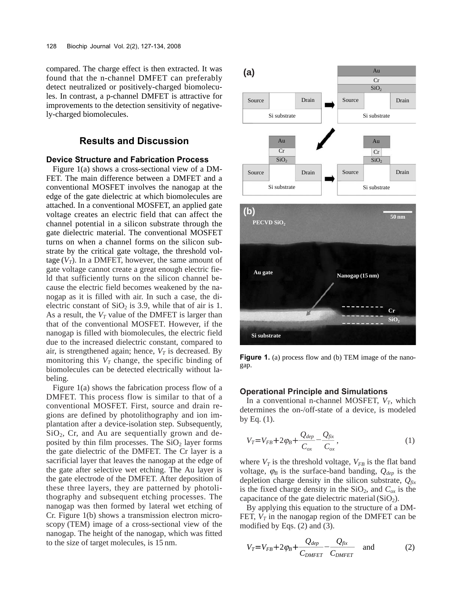compared. The charge effect is then extracted. It was found that the n-channel DMFET can preferably detect neutralized or positively-charged biomolecules. In contrast, a p-channel DMFET is attractive for improvements to the detection sensitivity of negatively-charged biomolecules.

# **Results and Discussion**

### **Device Structure and Fabrication Process**

Figure 1(a) shows a cross-sectional view of a DM-FET. The main difference between a DMFET and a conventional MOSFET involves the nanogap at the edge of the gate dielectric at which biomolecules are attached. In a conventional MOSFET, an applied gate voltage creates an electric field that can affect the channel potential in a silicon substrate through the gate dielectric material. The conventional MOSFET turns on when a channel forms on the silicon substrate by the critical gate voltage, the threshold voltage  $(V_T)$ . In a DMFET, however, the same amount of gate voltage cannot create a great enough electric field that sufficiently turns on the silicon channel because the electric field becomes weakened by the nanogap as it is filled with air. In such a case, the dielectric constant of  $SiO<sub>2</sub>$  is 3.9, while that of air is 1. As a result, the  $V_T$  value of the DMFET is larger than that of the conventional MOSFET. However, if the nanogap is filled with biomolecules, the electric field due to the increased dielectric constant, compared to air, is strengthened again; hence,  $V_T$  is decreased. By monitoring this  $V_T$  change, the specific binding of biomolecules can be detected electrically without labeling.

Figure 1(a) shows the fabrication process flow of a DMFET. This process flow is similar to that of a conventional MOSFET. First, source and drain regions are defined by photolithography and ion implantation after a device-isolation step. Subsequently,  $SiO<sub>2</sub>$ , Cr, and Au are sequentially grown and deposited by thin film processes. The  $SiO<sub>2</sub>$  layer forms the gate dielectric of the DMFET. The Cr layer is a sacrificial layer that leaves the nanogap at the edge of the gate after selective wet etching. The Au layer is the gate electrode of the DMFET. After deposition of these three layers, they are patterned by photolithography and subsequent etching processes. The nanogap was then formed by lateral wet etching of Cr. Figure 1(b) shows a transmission electron microscopy (TEM) image of a cross-sectional view of the nanogap. The height of the nanogap, which was fitted to the size of target molecules, is 15 nm.



**Figure 1.** (a) process flow and (b) TEM image of the nanogap.

#### **Operational Principle and Simulations**

In a conventional n-channel MOSFET,  $V_T$ , which determines the on-/off-state of a device, is modeled by Eq.  $(1)$ .

$$
V_T = V_{FB} + 2\varphi_B + \frac{Q_{dep}}{C_{ox}} - \frac{Q_{fix}}{C_{ox}},
$$
\n(1)

where  $V_T$  is the threshold voltage,  $V_{FB}$  is the flat band voltage,  $\varphi_B$  is the surface-band banding,  $Q_{dep}$  is the depletion charge density in the silicon substrate, *Qfix* is the fixed charge density in the  $SiO<sub>2</sub>$ , and  $C<sub>ox</sub>$  is the capacitance of the gate dielectric material  $(SiO<sub>2</sub>)$ .

By applying this equation to the structure of a DM-FET,  $V_T$  in the nanogap region of the DMFET can be modified by Eqs. (2) and (3).

$$
V_T = V_{FB} + 2\varphi_B + \frac{Q_{dep}}{C_{DMFET}} - \frac{Q_{fix}}{C_{DMFET}} \quad \text{and} \tag{2}
$$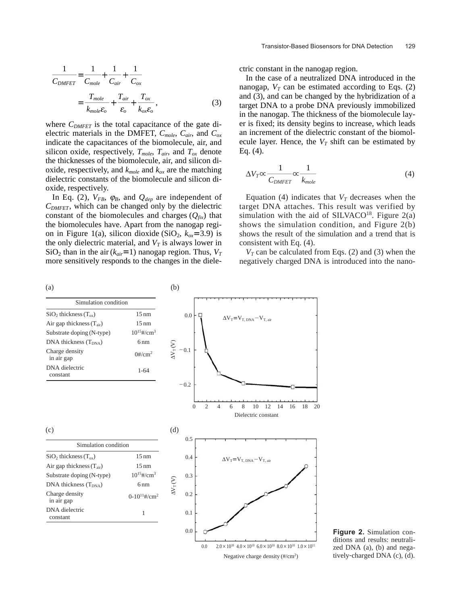$$
\frac{1}{C_{DMFET}} = \frac{1}{C_{mole}} + \frac{1}{C_{air}} + \frac{1}{C_{ox}}
$$

$$
= \frac{T_{mole}}{k_{mole}\epsilon_o} + \frac{T_{air}}{\epsilon_o} + \frac{T_{ox}}{k_{ox}\epsilon_o},
$$
(3)

where  $C_{DMFET}$  is the total capacitance of the gate dielectric materials in the DMFET, *Cmole*, *Cair*, and *Cox* indicate the capacitances of the biomolecule, air, and silicon oxide, respectively,  $T_{mole}$ ,  $T_{air}$ , and  $T_{ox}$  denote the thicknesses of the biomolecule, air, and silicon dioxide, respectively, and  $k_{mole}$  and  $k_{ox}$  are the matching dielectric constants of the biomolecule and silicon dioxide, respectively.

In Eq. (2),  $V_{FB}$ ,  $\varphi_B$ , and  $Q_{dep}$  are independent of  $C_{DMFET}$ , which can be changed only by the dielectric constant of the biomolecules and charges  $(Q<sub>fix</sub>)$  that the biomolecules have. Apart from the nanogap region in Figure 1(a), silicon dioxide (SiO<sub>2</sub>,  $k_{ox}$ =3.9) is the only dielectric material, and  $V_T$  is always lower in  $SiO<sub>2</sub>$  than in the air ( $k_{air}$ =1) nanogap region. Thus,  $V<sub>T</sub>$ more sensitively responds to the changes in the dielectric constant in the nanogap region.

In the case of a neutralized DNA introduced in the nanogap,  $V_T$  can be estimated according to Eqs. (2) and (3), and can be changed by the hybridization of a target DNA to a probe DNA previously immobilized in the nanogap. The thickness of the biomolecule layer is fixed; its density begins to increase, which leads an increment of the dielectric constant of the biomolecule layer. Hence, the  $V_T$  shift can be estimated by Eq. (4).

$$
\Delta V_T \propto \frac{1}{C_{DMFET}} \propto \frac{1}{k_{mole}}
$$
(4)

Equation (4) indicates that  $V_T$  decreases when the target DNA attaches. This result was verified by simulation with the aid of SILVACO<sup>18</sup>. Figure  $2(a)$ shows the simulation condition, and Figure 2(b) shows the result of the simulation and a trend that is consistent with Eq. (4).

 $V_T$  can be calculated from Eqs. (2) and (3) when the negatively charged DNA is introduced into the nano-



**Figure 2.** Simulation conditions and results: neutralized DNA (a), (b) and negatively-charged DNA (c), (d).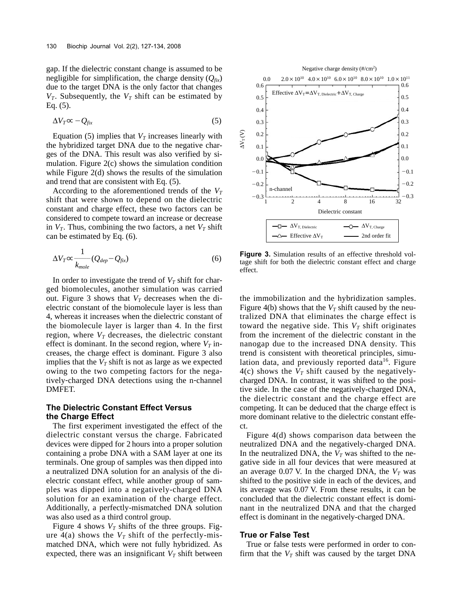gap. If the dielectric constant change is assumed to be negligible for simplification, the charge density  $(Q_{fix})$ due to the target DNA is the only factor that changes  $V_T$ . Subsequently, the  $V_T$  shift can be estimated by Eq. (5).

$$
\Delta V_T \infty - Q_{fix} \tag{5}
$$

Equation (5) implies that  $V_T$  increases linearly with the hybridized target DNA due to the negative charges of the DNA. This result was also verified by simulation. Figure 2(c) shows the simulation condition while Figure 2(d) shows the results of the simulation and trend that are consistent with Eq. (5).

According to the aforementioned trends of the  $V_T$ shift that were shown to depend on the dielectric constant and charge effect, these two factors can be considered to compete toward an increase or decrease in  $V_T$ . Thus, combining the two factors, a net  $V_T$  shift can be estimated by Eq. (6).

$$
\Delta V_T \propto \frac{1}{k_{mole}} (Q_{dep} - Q_{fix})
$$
\n(6)

In order to investigate the trend of  $V_T$  shift for charged biomolecules, another simulation was carried out. Figure 3 shows that  $V_T$  decreases when the dielectric constant of the biomolecule layer is less than 4, whereas it increases when the dielectric constant of the biomolecule layer is larger than 4. In the first region, where  $V_T$  decreases, the dielectric constant effect is dominant. In the second region, where  $V_T$  increases, the charge effect is dominant. Figure 3 also implies that the  $V_T$  shift is not as large as we expected owing to the two competing factors for the negatively-charged DNA detections using the n-channel DMFET.

#### **The Dielectric Constant Effect Versus the Charge Effect**

The first experiment investigated the effect of the dielectric constant versus the charge. Fabricated devices were dipped for 2 hours into a proper solution containing a probe DNA with a SAM layer at one its terminals. One group of samples was then dipped into a neutralized DNA solution for an analysis of the dielectric constant effect, while another group of samples was dipped into a negatively-charged DNA solution for an examination of the charge effect. Additionally, a perfectly-mismatched DNA solution was also used as a third control group.

Figure 4 shows  $V_T$  shifts of the three groups. Figure  $4(a)$  shows the  $V_T$  shift of the perfectly-mismatched DNA, which were not fully hybridized. As expected, there was an insignificant  $V_T$  shift between



**Figure 3.** Simulation results of an effective threshold voltage shift for both the dielectric constant effect and charge effect.

the immobilization and the hybridization samples. Figure 4(b) shows that the  $V_T$  shift caused by the neutralized DNA that eliminates the charge effect is toward the negative side. This  $V_T$  shift originates from the increment of the dielectric constant in the nanogap due to the increased DNA density. This trend is consistent with theoretical principles, simulation data, and previously reported data $16$ . Figure  $4(c)$  shows the  $V_T$  shift caused by the negativelycharged DNA. In contrast, it was shifted to the positive side. In the case of the negatively-charged DNA, the dielectric constant and the charge effect are competing. It can be deduced that the charge effect is more dominant relative to the dielectric constant effect.

Figure 4(d) shows comparison data between the neutralized DNA and the negatively-charged DNA. In the neutralized DNA, the  $V_T$  was shifted to the negative side in all four devices that were measured at an average  $0.07$  V. In the charged DNA, the  $V_T$  was shifted to the positive side in each of the devices, and its average was 0.07 V. From these results, it can be concluded that the dielectric constant effect is dominant in the neutralized DNA and that the charged effect is dominant in the negatively-charged DNA.

#### **True or False Test**

True or false tests were performed in order to confirm that the  $V_T$  shift was caused by the target DNA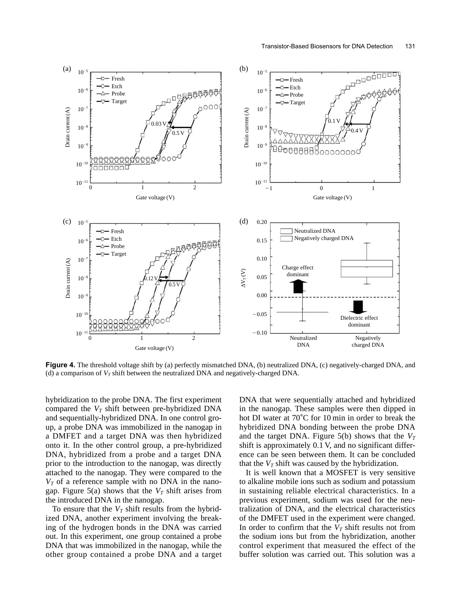

Figure 4. The threshold voltage shift by (a) perfectly mismatched DNA, (b) neutralized DNA, (c) negatively-charged DNA, and (d) a comparison of  $V_T$  shift between the neutralized DNA and negatively-charged DNA.

hybridization to the probe DNA. The first experiment compared the  $V_T$  shift between pre-hybridized DNA and sequentially-hybridized DNA. In one control group, a probe DNA was immobilized in the nanogap in a DMFET and a target DNA was then hybridized onto it. In the other control group, a pre-hybridized DNA, hybridized from a probe and a target DNA prior to the introduction to the nanogap, was directly attached to the nanogap. They were compared to the  $V_T$  of a reference sample with no DNA in the nanogap. Figure 5(a) shows that the  $V_T$  shift arises from the introduced DNA in the nanogap.

To ensure that the  $V_T$  shift results from the hybridized DNA, another experiment involving the breaking of the hydrogen bonds in the DNA was carried out. In this experiment, one group contained a probe DNA that was immobilized in the nanogap, while the other group contained a probe DNA and a target

DNA that were sequentially attached and hybridized in the nanogap. These samples were then dipped in hot DI water at 70<sup>°</sup>C for 10 min in order to break the hybridized DNA bonding between the probe DNA and the target DNA. Figure  $5(b)$  shows that the  $V_T$ shift is approximately 0.1 V, and no significant difference can be seen between them. It can be concluded that the  $V_T$  shift was caused by the hybridization.

It is well known that a MOSFET is very sensitive to alkaline mobile ions such as sodium and potassium in sustaining reliable electrical characteristics. In a previous experiment, sodium was used for the neutralization of DNA, and the electrical characteristics of the DMFET used in the experiment were changed. In order to confirm that the  $V_T$  shift results not from the sodium ions but from the hybridization, another control experiment that measured the effect of the buffer solution was carried out. This solution was a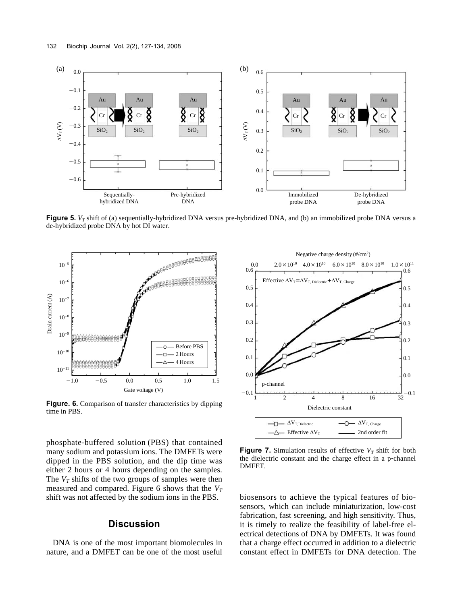

**Figure 5.**  $V_T$  shift of (a) sequentially-hybridized DNA versus pre-hybridized DNA, and (b) an immobilized probe DNA versus a de-hybridized probe DNA by hot DI water.



**Figure. 6.** Comparison of transfer characteristics by dipping time in PBS.

phosphate-buffered solution (PBS) that contained many sodium and potassium ions. The DMFETs were dipped in the PBS solution, and the dip time was either 2 hours or 4 hours depending on the samples. The  $V_T$  shifts of the two groups of samples were then measured and compared. Figure 6 shows that the  $V_T$ shift was not affected by the sodium ions in the PBS.

# **Discussion**

DNA is one of the most important biomolecules in nature, and a DMFET can be one of the most useful



**Figure 7.** Simulation results of effective  $V_T$  shift for both the dielectric constant and the charge effect in a p-channel DMFET.

biosensors to achieve the typical features of biosensors, which can include miniaturization, low-cost fabrication, fast screening, and high sensitivity. Thus, it is timely to realize the feasibility of label-free electrical detections of DNA by DMFETs. It was found that a charge effect occurred in addition to a dielectric constant effect in DMFETs for DNA detection. The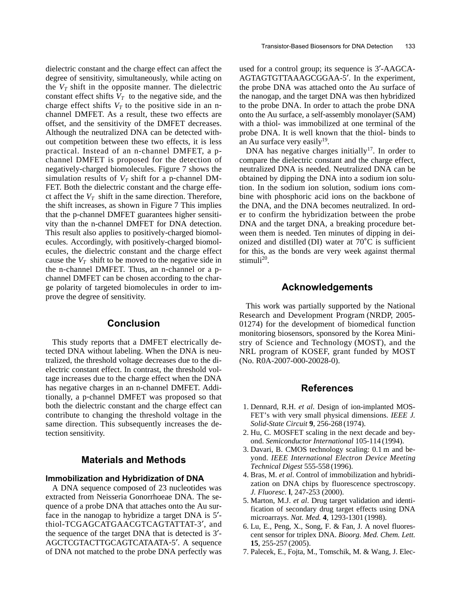dielectric constant and the charge effect can affect the degree of sensitivity, simultaneously, while acting on the  $V_T$  shift in the opposite manner. The dielectric constant effect shifts  $V_T$  to the negative side, and the charge effect shifts  $V_T$  to the positive side in an nchannel DMFET. As a result, these two effects are offset, and the sensitivity of the DMFET decreases. Although the neutralized DNA can be detected without competition between these two effects, it is less practical. Instead of an n-channel DMFET, a pchannel DMFET is proposed for the detection of negatively-charged biomolecules. Figure 7 shows the simulation results of  $V_T$  shift for a p-channel DM-FET. Both the dielectric constant and the charge effect affect the  $V_T$  shift in the same direction. Therefore, the shift increases, as shown in Figure 7 This implies that the p-channel DMFET guarantees higher sensitivity than the n-channel DMFET for DNA detection. This result also applies to positively-charged biomolecules. Accordingly, with positively-charged biomolecules, the dielectric constant and the charge effect cause the  $V_T$  shift to be moved to the negative side in the n-channel DMFET. Thus, an n-channel or a pchannel DMFET can be chosen according to the charge polarity of targeted biomolecules in order to improve the degree of sensitivity.

# **Conclusion**

This study reports that a DMFET electrically detected DNA without labeling. When the DNA is neutralized, the threshold voltage decreases due to the dielectric constant effect. In contrast, the threshold voltage increases due to the charge effect when the DNA has negative charges in an n-channel DMFET. Additionally, a p-channel DMFET was proposed so that both the dielectric constant and the charge effect can contribute to changing the threshold voltage in the same direction. This subsequently increases the detection sensitivity.

### **Materials and Methods**

#### **Immobilization and Hybridization of DNA**

A DNA sequence composed of 23 nucleotides was extracted from Neisseria Gonorrhoeae DNA. The sequence of a probe DNA that attaches onto the Au surface in the nanogap to hybridize a target DNA is 5′ thiol-TCGAGCATGAACGTCAGTATTAT-3′, and the sequence of the target DNA that is detected is 3′- AGCTCGTACTTGCAGTCATAATA-5′. A sequence of DNA not matched to the probe DNA perfectly was used for a control group; its sequence is 3′-AAGCA-AGTAGTGTTAAAGCGGAA-5′. In the experiment, the probe DNA was attached onto the Au surface of the nanogap, and the target DNA was then hybridized to the probe DNA. In order to attach the probe DNA onto the Au surface, a self-assembly monolayer (SAM) with a thiol- was immobilized at one terminal of the probe DNA. It is well known that the thiol- binds to an Au surface very easily $19$ .

DNA has negative charges initially<sup>17</sup>. In order to compare the dielectric constant and the charge effect, neutralized DNA is needed. Neutralized DNA can be obtained by dipping the DNA into a sodium ion solution. In the sodium ion solution, sodium ions combine with phosphoric acid ions on the backbone of the DNA, and the DNA becomes neutralized. In order to confirm the hybridization between the probe DNA and the target DNA, a breaking procedure between them is needed. Ten minutes of dipping in deionized and distilled (DI) water at  $70^{\circ}$ C is sufficient for this, as the bonds are very week against thermal stimuli<sup>20</sup>.

### **Acknowledgements**

This work was partially supported by the National Research and Development Program (NRDP, 2005- 01274) for the development of biomedical function monitoring biosensors, sponsored by the Korea Ministry of Science and Technology (MOST), and the NRL program of KOSEF, grant funded by MOST (No. R0A-2007-000-20028-0).

#### **References**

- 1. Dennard, R.H. *et al*. Design of ion-implanted MOS-FET's with very small physical dimensions. *IEEE J. Solid-State Circuit* **9**, 256-268 (1974).
- 2. Hu, C. MOSFET scaling in the next decade and beyond. *Semiconductor International* 105-114 (1994).
- 3. Davari, B. CMOS technology scaling: 0.1 m and beyond. *IEEE International Electron Device Meeting Technical Digest* 555-558 (1996).
- 4. Bras, M. *et al*. Control of immobilization and hybridization on DNA chips by fluorescence spectroscopy. *J. Fluoresc.* **l**, 247-253 (2000).
- 5. Marton, M.J. *et al*. Drug target validation and identification of secondary drug target effects using DNA microarrays. *Nat. Med.* **4**, 1293-1301 (1998).
- 6. Lu, E., Peng, X., Song, F. & Fan, J. A novel fluorescent sensor for triplex DNA. *Bioorg. Med. Chem. Lett.* **15**, 255-257 (2005).
- 7. Palecek, E., Fojta, M., Tomschik, M. & Wang, J. Elec-